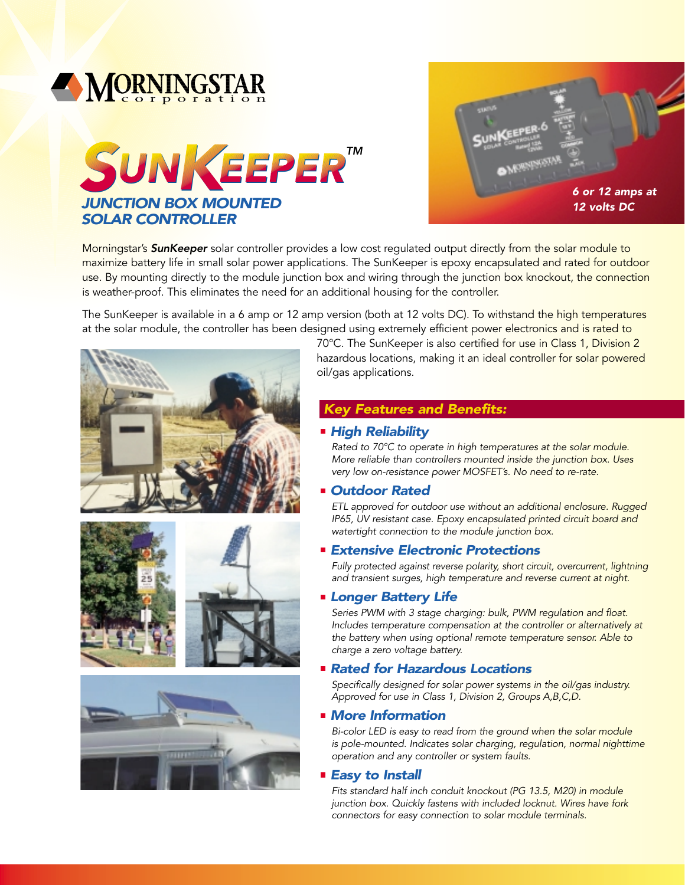



Morningstar's *SunKeeper* solar controller provides a low cost regulated output directly from the solar module to maximize battery life in small solar power applications. The SunKeeper is epoxy encapsulated and rated for outdoor use. By mounting directly to the module junction box and wiring through the junction box knockout, the connection is weather-proof. This eliminates the need for an additional housing for the controller.

The SunKeeper is available in a 6 amp or 12 amp version (both at 12 volts DC). To withstand the high temperatures at the solar module, the controller has been designed using extremely efficient power electronics and is rated to







70°C. The SunKeeper is also certified for use in Class 1, Division 2 hazardous locations, making it an ideal controller for solar powered oil/gas applications.

# *Key Features and Benefits:*

### *High Reliability*

*Rated to 70°C to operate in high temperatures at the solar module. More reliable than controllers mounted inside the junction box. Uses very low on-resistance power MOSFET's. No need to re-rate.*

## *Outdoor Rated*

*ETL approved for outdoor use without an additional enclosure. Rugged IP65, UV resistant case. Epoxy encapsulated printed circuit board and watertight connection to the module junction box.*

## *Extensive Electronic Protections*

*Fully protected against reverse polarity, short circuit, overcurrent, lightning and transient surges, high temperature and reverse current at night.*

### *Longer Battery Life*

*Series PWM with 3 stage charging: bulk, PWM regulation and float. Includes temperature compensation at the controller or alternatively at the battery when using optional remote temperature sensor. Able to charge a zero voltage battery.*

## *Rated for Hazardous Locations*

*Specifically designed for solar power systems in the oil/gas industry. Approved for use in Class 1, Division 2, Groups A,B,C,D.*

## *More Information*

*Bi-color LED is easy to read from the ground when the solar module is pole-mounted. Indicates solar charging, regulation, normal nighttime operation and any controller or system faults.*

### *Easy to Install*

*Fits standard half inch conduit knockout (PG 13.5, M20) in module junction box. Quickly fastens with included locknut. Wires have fork connectors for easy connection to solar module terminals.*